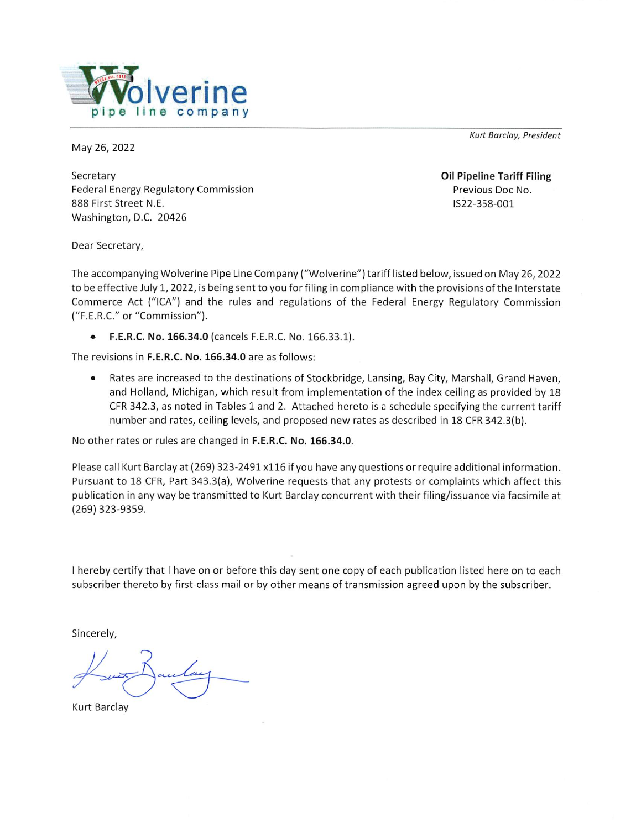

Kurt Barclay, President

May 26, 2022

Secretary **Federal Energy Regulatory Commission** 888 First Street N.E. Washington, D.C. 20426

**Oil Pipeline Tariff Filing** Previous Doc No. IS22-358-001

Dear Secretary,

The accompanying Wolverine Pipe Line Company ("Wolverine") tariff listed below, issued on May 26, 2022 to be effective July 1, 2022, is being sent to you for filing in compliance with the provisions of the Interstate Commerce Act ("ICA") and the rules and regulations of the Federal Energy Regulatory Commission ("F.E.R.C." or "Commission").

 $\bullet$ F.E.R.C. No. 166.34.0 (cancels F.E.R.C. No. 166.33.1).

The revisions in F.E.R.C. No. 166.34.0 are as follows:

Rates are increased to the destinations of Stockbridge, Lansing, Bay City, Marshall, Grand Haven,  $\bullet$ and Holland, Michigan, which result from implementation of the index ceiling as provided by 18 CFR 342.3, as noted in Tables 1 and 2. Attached hereto is a schedule specifying the current tariff number and rates, ceiling levels, and proposed new rates as described in 18 CFR 342.3(b).

No other rates or rules are changed in F.E.R.C. No. 166.34.0.

Please call Kurt Barclay at (269) 323-2491 x116 if you have any questions or require additional information. Pursuant to 18 CFR, Part 343.3(a), Wolverine requests that any protests or complaints which affect this publication in any way be transmitted to Kurt Barclay concurrent with their filing/issuance via facsimile at (269) 323-9359.

I hereby certify that I have on or before this day sent one copy of each publication listed here on to each subscriber thereto by first-class mail or by other means of transmission agreed upon by the subscriber.

Sincerely,

**Kurt Barclay**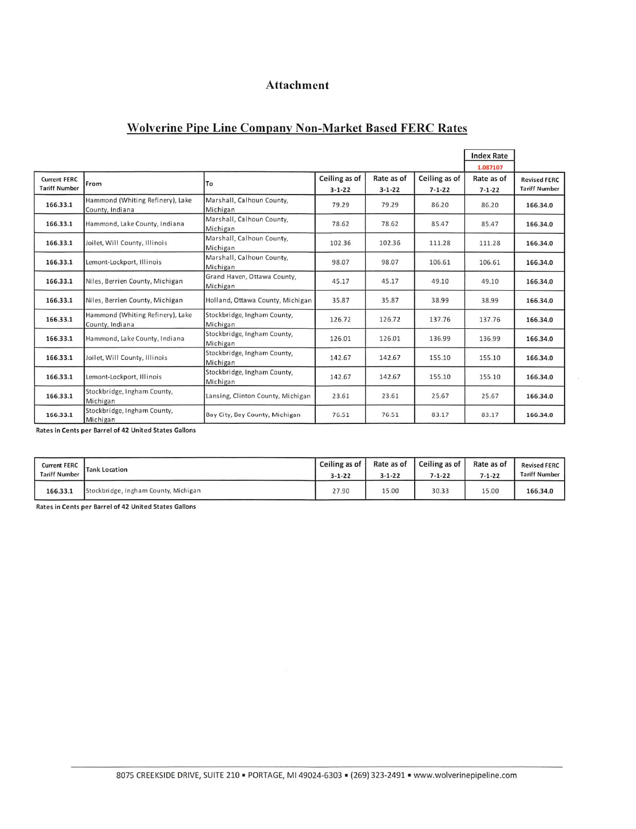### Attachment

### **Wolverine Pipe Line Company Non-Market Based FERC Rates**

|                                             |                                                     |                                         |                               |                            |                               | <b>Index Rate</b>                      |                                             |
|---------------------------------------------|-----------------------------------------------------|-----------------------------------------|-------------------------------|----------------------------|-------------------------------|----------------------------------------|---------------------------------------------|
| <b>Current FERC</b><br><b>Tariff Number</b> | From                                                | To                                      | Ceiling as of<br>$3 - 1 - 22$ | Rate as of<br>$3 - 1 - 22$ | Ceiling as of<br>$7 - 1 - 22$ | 1.087107<br>Rate as of<br>$7 - 1 - 22$ | <b>Revised FERC</b><br><b>Tariff Number</b> |
| 166.33.1                                    | Hammond (Whiting Refinery), Lake<br>County, Indiana | Marshall, Calhoun County,<br>Michigan   | 79.29                         | 79.29                      | 86.20                         | 86.20                                  | 166,34.0                                    |
| 166.33.1                                    | Hammond, Lake County, Indiana                       | Marshall, Calhoun County,<br>Michigan   | 78.62                         | 78.62                      | 85.47                         | 85.47                                  | 166.34.0                                    |
| 166.33.1                                    | Joilet, Will County, Illinois                       | Marshall, Calhoun County,<br>Michigan   | 102.36                        | 102.36                     | 111.28                        | 111.28                                 | 166,34.0                                    |
| 166.33.1                                    | Lemont-Lockport, Illinois                           | Marshall, Calhoun County,<br>Michigan   | 98.07                         | 98.07                      | 106.61                        | 106.61                                 | 166,34.0                                    |
| 166.33.1                                    | Niles, Berrien County, Michigan                     | Grand Haven, Ottawa County,<br>Michigan | 45.17                         | 45.17                      | 49.10                         | 49.10                                  | 166.34.0                                    |
| 166.33.1                                    | Niles, Berrien County, Michigan                     | Holland, Ottawa County, Michigan        | 35.87                         | 35.87                      | 38.99                         | 38.99                                  | 166,34.0                                    |
| 166.33.1                                    | Hammond (Whiting Refinery), Lake<br>County, Indiana | Stockbridge, Ingham County,<br>Michigan | 126.72                        | 126.72                     | 137.76                        | 137.76                                 | 166,34.0                                    |
| 166.33.1                                    | Hammond, Lake County, Indiana                       | Stockbridge, Ingham County,<br>Michigan | 126.01                        | 126.01                     | 136.99                        | 136.99                                 | 166,34.0                                    |
| 166.33.1                                    | Joilet, Will County, Illinois                       | Stockbridge, Ingham County,<br>Michigan | 142.67                        | 142.67                     | 155.10                        | 155.10                                 | 166.34.0                                    |
| 166.33.1                                    | Lemont-Lockport, Illinois                           | Stockbridge, Ingham County,<br>Michigan | 142.67                        | 142.67                     | 155.10                        | 155.10                                 | 166.34.0                                    |
| 166.33.1                                    | Stockbridge, Ingham County,<br>Michigan             | Lansing, Clinton County, Michigan       | 23.61                         | 23.61                      | 25.67                         | 25.67                                  | 166.34.0                                    |
| 166.33.1                                    | Stockbridge, Ingham County,<br>Michigan             | Bay City, Bay County, Michigan          | 76.51                         | 76.51                      | 83.17                         | 83.17                                  | 166,34.0                                    |

Rates in Cents per Barrel of 42 United States Gallons

| <b>Current FERC</b>  | <b>Tank Location</b>                 | Ceiling as of | Rate as of   | Ceiling as of | Rate as of   | <b>Revised FERC</b>  |
|----------------------|--------------------------------------|---------------|--------------|---------------|--------------|----------------------|
| <b>Tariff Number</b> |                                      | $3 - 1 - 22$  | $3 - 1 - 22$ | $7 - 1 - 22$  | $7 - 1 - 22$ | <b>Tariff Number</b> |
| 166.33.1             | Stockbridge, Ingham County, Michigan | 27.90         | 15.00        | 30.33         | 15.00        | 166.34.0             |

Rates in Cents per Barrel of 42 United States Gallons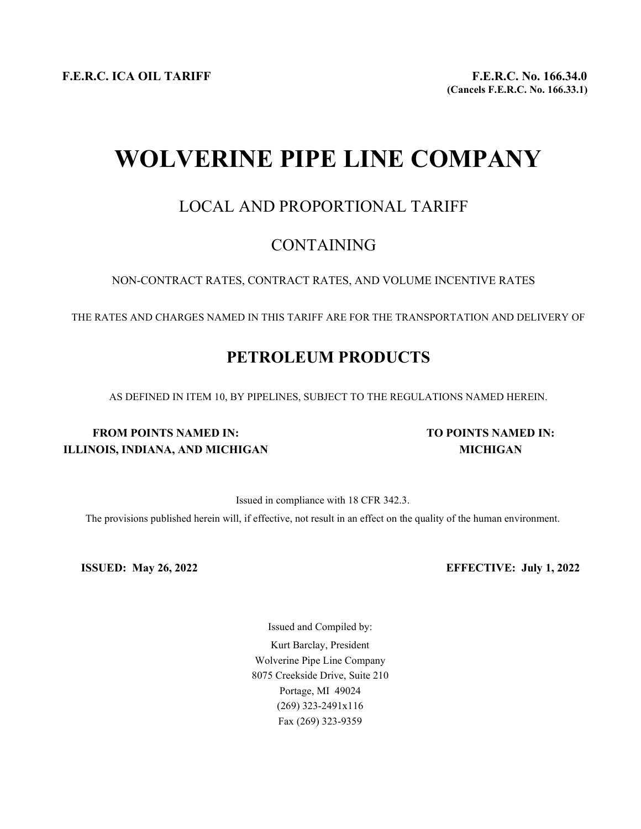F.E.R.C. ICA OIL TARIFF F.E.R.C. No. 166.34.0

# WOLVERINE PIPE LINE COMPANY

### LOCAL AND PROPORTIONAL TARIFF

### CONTAINING

NON-CONTRACT RATES, CONTRACT RATES, AND VOLUME INCENTIVE RATES

THE RATES AND CHARGES NAMED IN THIS TARIFF ARE FOR THE TRANSPORTATION AND DELIVERY OF

## PETROLEUM PRODUCTS

AS DEFINED IN ITEM 10, BY PIPELINES, SUBJECT TO THE REGULATIONS NAMED HEREIN.

### FROM POINTS NAMED IN: TO POINTS NAMED IN: ILLINOIS, INDIANA, AND MICHIGAN MICHIGAN

Issued in compliance with 18 CFR 342.3.

The provisions published herein will, if effective, not result in an effect on the quality of the human environment.

ISSUED: May 26, 2022 EFFECTIVE: July 1, 2022

Issued and Compiled by: Kurt Barclay, President Wolverine Pipe Line Company 8075 Creekside Drive, Suite 210 Portage, MI 49024 (269) 323-2491x116 Fax (269) 323-9359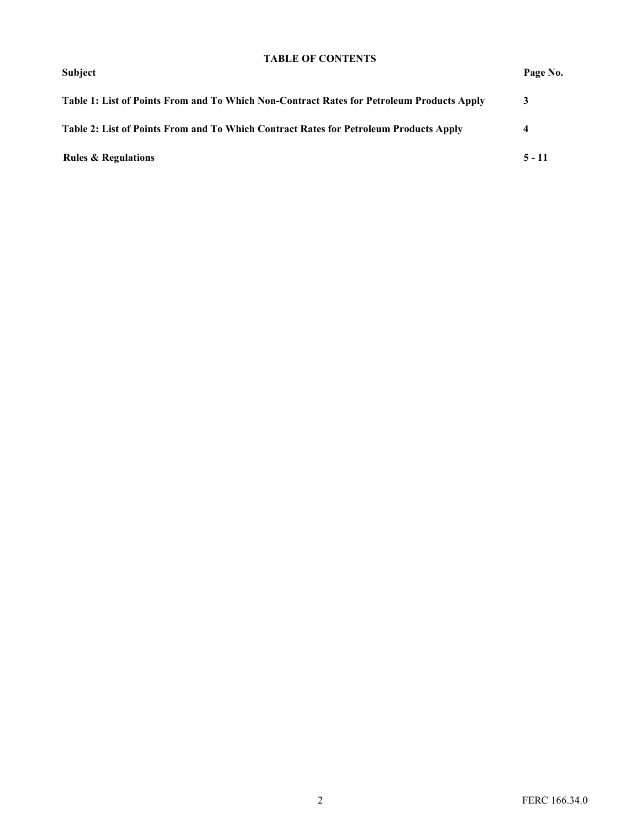#### TABLE OF CONTENTS

| <b>Subject</b>                                                                            | Page No.                |
|-------------------------------------------------------------------------------------------|-------------------------|
| Table 1: List of Points From and To Which Non-Contract Rates for Petroleum Products Apply |                         |
| Table 2: List of Points From and To Which Contract Rates for Petroleum Products Apply     | $\overline{\mathbf{4}}$ |
| <b>Rules &amp; Regulations</b>                                                            | $5 - 11$                |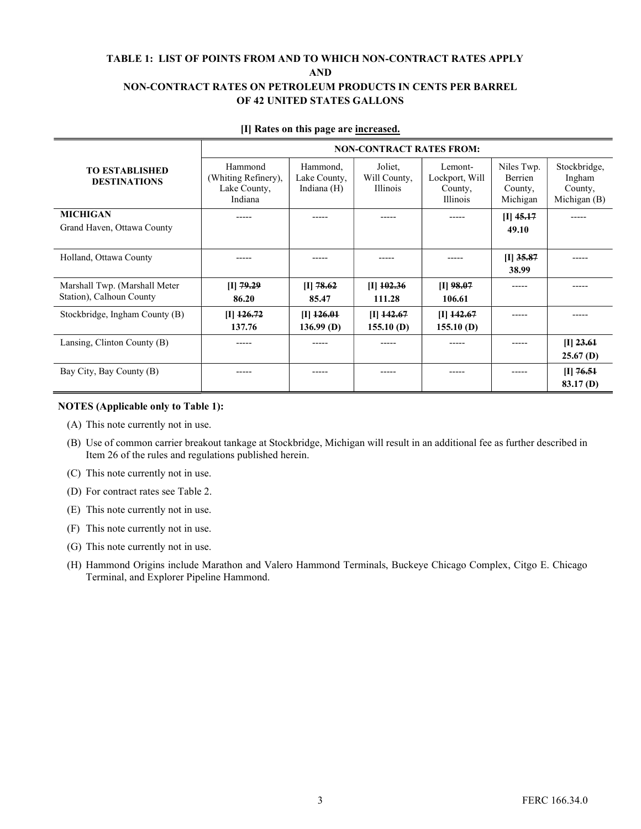#### TABLE 1: LIST OF POINTS FROM AND TO WHICH NON-CONTRACT RATES APPLY AND NON-CONTRACT RATES ON PETROLEUM PRODUCTS IN CENTS PER BARREL OF 42 UNITED STATES GALLONS

|                                                           | <b>NON-CONTRACT RATES FROM:</b>                           |                                         |                                     |                                                  |                                              |                                                   |  |  |
|-----------------------------------------------------------|-----------------------------------------------------------|-----------------------------------------|-------------------------------------|--------------------------------------------------|----------------------------------------------|---------------------------------------------------|--|--|
| TO ESTABLISHED<br><b>DESTINATIONS</b>                     | Hammond<br>(Whiting Refinery),<br>Lake County,<br>Indiana | Hammond.<br>Lake County,<br>Indiana (H) | Joliet,<br>Will County,<br>Illinois | Lemont-<br>Lockport, Will<br>County,<br>Illinois | Niles Twp.<br>Berrien<br>County,<br>Michigan | Stockbridge,<br>Ingham<br>County,<br>Michigan (B) |  |  |
| <b>MICHIGAN</b><br>Grand Haven, Ottawa County             |                                                           |                                         | -----                               |                                                  | $[I]$ 45.17<br>49.10                         | -----                                             |  |  |
| Holland, Ottawa County                                    | -----                                                     | -----                                   | -----                               | -----                                            | $[I]$ 35.87<br>38.99                         | -----                                             |  |  |
| Marshall Twp. (Marshall Meter<br>Station), Calhoun County | [I] $79.29$<br>86.20                                      | $[I]$ 78.62<br>85.47                    | $\Pi$ 102.36<br>111.28              | $[I]$ 98.07<br>106.61                            | -----                                        | -----                                             |  |  |
| Stockbridge, Ingham County (B)                            | $[I]$ 126.72<br>137.76                                    | $[I]$ 126.01<br>$136.99$ (D)            | $[I]$ 142.67<br>155.10(D)           | $[I]$ 142.67<br>155.10(D)                        |                                              | -----                                             |  |  |
| Lansing, Clinton County (B)                               | -----                                                     |                                         | -----                               |                                                  | -----                                        | $[I]$ 23.61<br>$25.67$ (D)                        |  |  |
| Bay City, Bay County (B)                                  | -----                                                     | -----                                   | -----                               |                                                  | -----                                        | $[I]$ 76.51<br>83.17(D)                           |  |  |

#### [I] Rates on this page are increased.

#### NOTES (Applicable only to Table 1):

- (A) This note currently not in use.
- (B) Use of common carrier breakout tankage at Stockbridge, Michigan will result in an additional fee as further described in Item 26 of the rules and regulations published herein.
- (C) This note currently not in use.
- (D) For contract rates see Table 2.
- (E) This note currently not in use.
- (F) This note currently not in use.
- (G) This note currently not in use.
- (H) Hammond Origins include Marathon and Valero Hammond Terminals, Buckeye Chicago Complex, Citgo E. Chicago Terminal, and Explorer Pipeline Hammond.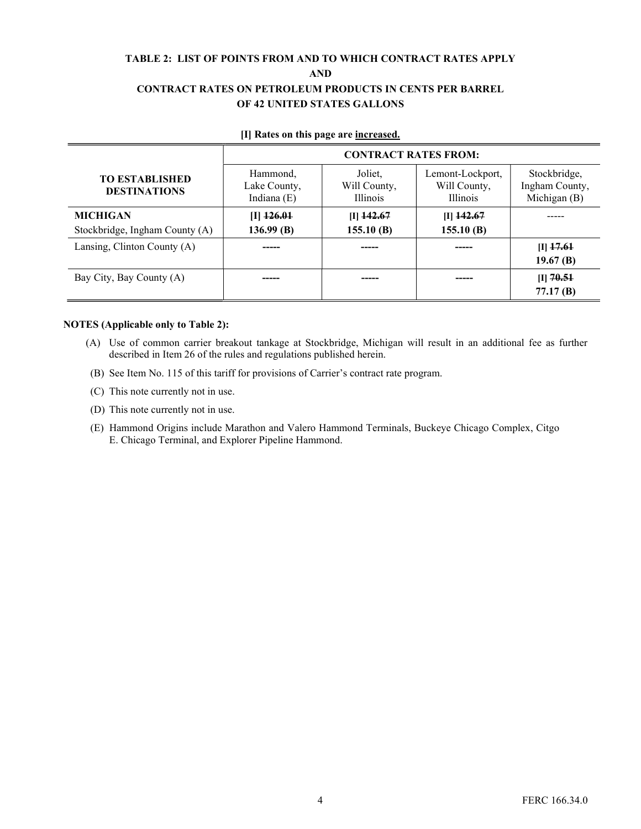#### TABLE 2: LIST OF POINTS FROM AND TO WHICH CONTRACT RATES APPLY AND CONTRACT RATES ON PETROLEUM PRODUCTS IN CENTS PER BARREL OF 42 UNITED STATES GALLONS

|                                              | <b>CONTRACT RATES FROM:</b>               |                                            |                                                     |                                                |  |  |
|----------------------------------------------|-------------------------------------------|--------------------------------------------|-----------------------------------------------------|------------------------------------------------|--|--|
| <b>TO ESTABLISHED</b><br><b>DESTINATIONS</b> | Hammond,<br>Lake County,<br>Indiana $(E)$ | Joliet,<br>Will County,<br><b>Illinois</b> | Lemont-Lockport,<br>Will County,<br><b>Illinois</b> | Stockbridge,<br>Ingham County,<br>Michigan (B) |  |  |
| <b>MICHIGAN</b>                              | $[I]$ $126.01$                            | $[I]$ 142.67                               | $[I]$ 142.67                                        |                                                |  |  |
| Stockbridge, Ingham County (A)               | 136.99(B)                                 | 155.10(B)                                  | 155.10(B)                                           |                                                |  |  |
| Lansing, Clinton County (A)                  |                                           |                                            |                                                     | $ I $ 17.61                                    |  |  |
|                                              |                                           |                                            |                                                     | 19.67 $(B)$                                    |  |  |
| Bay City, Bay County (A)                     |                                           |                                            |                                                     | $[I]$ 70.51                                    |  |  |
|                                              |                                           |                                            |                                                     | 77.17(B)                                       |  |  |

#### [I] Rates on this page are increased.

#### NOTES (Applicable only to Table 2):

- (A) Use of common carrier breakout tankage at Stockbridge, Michigan will result in an additional fee as further described in Item 26 of the rules and regulations published herein.
- (B) See Item No. 115 of this tariff for provisions of Carrier's contract rate program.
- (C) This note currently not in use.
- (D) This note currently not in use.
- (E) Hammond Origins include Marathon and Valero Hammond Terminals, Buckeye Chicago Complex, Citgo E. Chicago Terminal, and Explorer Pipeline Hammond.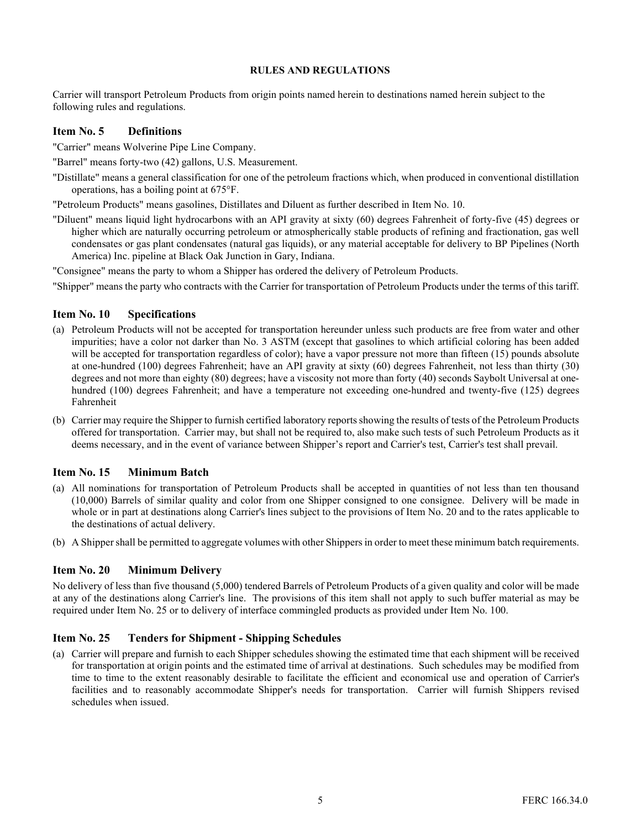Carrier will transport Petroleum Products from origin points named herein to destinations named herein subject to the following rules and regulations.

#### Item No. 5 Definitions

"Carrier" means Wolverine Pipe Line Company.

"Barrel" means forty-two (42) gallons, U.S. Measurement.

"Distillate" means a general classification for one of the petroleum fractions which, when produced in conventional distillation operations, has a boiling point at 675°F.

"Petroleum Products" means gasolines, Distillates and Diluent as further described in Item No. 10.

"Diluent" means liquid light hydrocarbons with an API gravity at sixty (60) degrees Fahrenheit of forty-five (45) degrees or higher which are naturally occurring petroleum or atmospherically stable products of refining and fractionation, gas well condensates or gas plant condensates (natural gas liquids), or any material acceptable for delivery to BP Pipelines (North America) Inc. pipeline at Black Oak Junction in Gary, Indiana.

"Consignee" means the party to whom a Shipper has ordered the delivery of Petroleum Products.

"Shipper" means the party who contracts with the Carrier for transportation of Petroleum Products under the terms of this tariff.

#### Item No. 10 Specifications

- (a) Petroleum Products will not be accepted for transportation hereunder unless such products are free from water and other impurities; have a color not darker than No. 3 ASTM (except that gasolines to which artificial coloring has been added will be accepted for transportation regardless of color); have a vapor pressure not more than fifteen (15) pounds absolute at one-hundred (100) degrees Fahrenheit; have an API gravity at sixty (60) degrees Fahrenheit, not less than thirty (30) degrees and not more than eighty (80) degrees; have a viscosity not more than forty (40) seconds Saybolt Universal at onehundred (100) degrees Fahrenheit; and have a temperature not exceeding one-hundred and twenty-five (125) degrees Fahrenheit
- (b) Carrier may require the Shipper to furnish certified laboratory reports showing the results of tests of the Petroleum Products offered for transportation. Carrier may, but shall not be required to, also make such tests of such Petroleum Products as it deems necessary, and in the event of variance between Shipper's report and Carrier's test, Carrier's test shall prevail.

#### Item No. 15 Minimum Batch

- (a) All nominations for transportation of Petroleum Products shall be accepted in quantities of not less than ten thousand (10,000) Barrels of similar quality and color from one Shipper consigned to one consignee. Delivery will be made in whole or in part at destinations along Carrier's lines subject to the provisions of Item No. 20 and to the rates applicable to the destinations of actual delivery.
- (b) A Shipper shall be permitted to aggregate volumes with other Shippers in order to meet these minimum batch requirements.

#### Item No. 20 Minimum Delivery

No delivery of less than five thousand (5,000) tendered Barrels of Petroleum Products of a given quality and color will be made at any of the destinations along Carrier's line. The provisions of this item shall not apply to such buffer material as may be required under Item No. 25 or to delivery of interface commingled products as provided under Item No. 100.

#### Item No. 25 Tenders for Shipment - Shipping Schedules

(a) Carrier will prepare and furnish to each Shipper schedules showing the estimated time that each shipment will be received for transportation at origin points and the estimated time of arrival at destinations. Such schedules may be modified from time to time to the extent reasonably desirable to facilitate the efficient and economical use and operation of Carrier's facilities and to reasonably accommodate Shipper's needs for transportation. Carrier will furnish Shippers revised schedules when issued.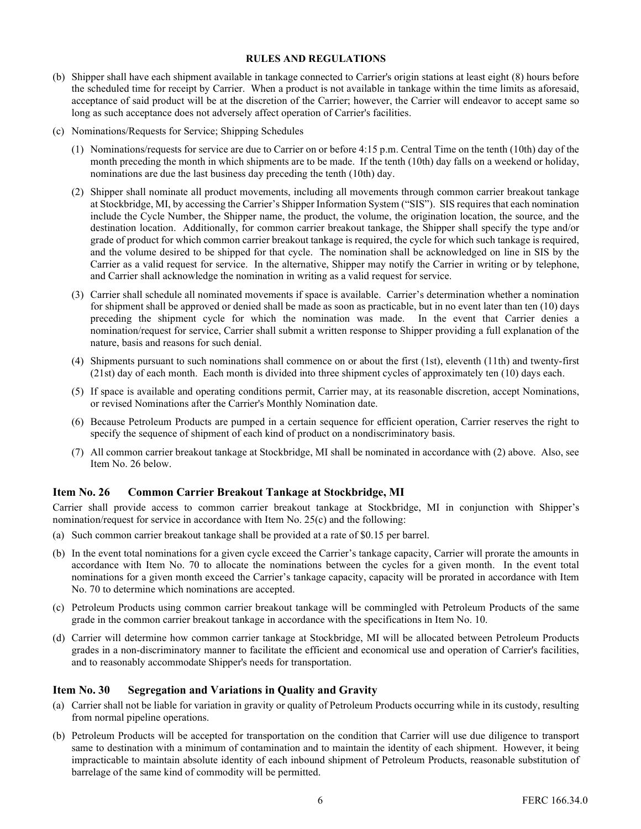- (b) Shipper shall have each shipment available in tankage connected to Carrier's origin stations at least eight (8) hours before the scheduled time for receipt by Carrier. When a product is not available in tankage within the time limits as aforesaid, acceptance of said product will be at the discretion of the Carrier; however, the Carrier will endeavor to accept same so long as such acceptance does not adversely affect operation of Carrier's facilities.
- (c) Nominations/Requests for Service; Shipping Schedules
	- (1) Nominations/requests for service are due to Carrier on or before 4:15 p.m. Central Time on the tenth (10th) day of the month preceding the month in which shipments are to be made. If the tenth (10th) day falls on a weekend or holiday, nominations are due the last business day preceding the tenth (10th) day.
	- (2) Shipper shall nominate all product movements, including all movements through common carrier breakout tankage at Stockbridge, MI, by accessing the Carrier's Shipper Information System ("SIS"). SIS requires that each nomination include the Cycle Number, the Shipper name, the product, the volume, the origination location, the source, and the destination location. Additionally, for common carrier breakout tankage, the Shipper shall specify the type and/or grade of product for which common carrier breakout tankage is required, the cycle for which such tankage is required, and the volume desired to be shipped for that cycle. The nomination shall be acknowledged on line in SIS by the Carrier as a valid request for service. In the alternative, Shipper may notify the Carrier in writing or by telephone, and Carrier shall acknowledge the nomination in writing as a valid request for service.
	- (3) Carrier shall schedule all nominated movements if space is available. Carrier's determination whether a nomination for shipment shall be approved or denied shall be made as soon as practicable, but in no event later than ten (10) days preceding the shipment cycle for which the nomination was made. In the event that Carrier denies a nomination/request for service, Carrier shall submit a written response to Shipper providing a full explanation of the nature, basis and reasons for such denial.
	- (4) Shipments pursuant to such nominations shall commence on or about the first (1st), eleventh (11th) and twenty-first (21st) day of each month. Each month is divided into three shipment cycles of approximately ten (10) days each.
	- (5) If space is available and operating conditions permit, Carrier may, at its reasonable discretion, accept Nominations, or revised Nominations after the Carrier's Monthly Nomination date.
	- (6) Because Petroleum Products are pumped in a certain sequence for efficient operation, Carrier reserves the right to specify the sequence of shipment of each kind of product on a nondiscriminatory basis.
	- (7) All common carrier breakout tankage at Stockbridge, MI shall be nominated in accordance with (2) above. Also, see Item No. 26 below.

#### Item No. 26 Common Carrier Breakout Tankage at Stockbridge, MI

Carrier shall provide access to common carrier breakout tankage at Stockbridge, MI in conjunction with Shipper's nomination/request for service in accordance with Item No. 25(c) and the following:

- (a) Such common carrier breakout tankage shall be provided at a rate of \$0.15 per barrel.
- (b) In the event total nominations for a given cycle exceed the Carrier's tankage capacity, Carrier will prorate the amounts in accordance with Item No. 70 to allocate the nominations between the cycles for a given month. In the event total nominations for a given month exceed the Carrier's tankage capacity, capacity will be prorated in accordance with Item No. 70 to determine which nominations are accepted.
- (c) Petroleum Products using common carrier breakout tankage will be commingled with Petroleum Products of the same grade in the common carrier breakout tankage in accordance with the specifications in Item No. 10.
- (d) Carrier will determine how common carrier tankage at Stockbridge, MI will be allocated between Petroleum Products grades in a non-discriminatory manner to facilitate the efficient and economical use and operation of Carrier's facilities, and to reasonably accommodate Shipper's needs for transportation.

#### Item No. 30 Segregation and Variations in Quality and Gravity

- (a) Carrier shall not be liable for variation in gravity or quality of Petroleum Products occurring while in its custody, resulting from normal pipeline operations.
- (b) Petroleum Products will be accepted for transportation on the condition that Carrier will use due diligence to transport same to destination with a minimum of contamination and to maintain the identity of each shipment. However, it being impracticable to maintain absolute identity of each inbound shipment of Petroleum Products, reasonable substitution of barrelage of the same kind of commodity will be permitted.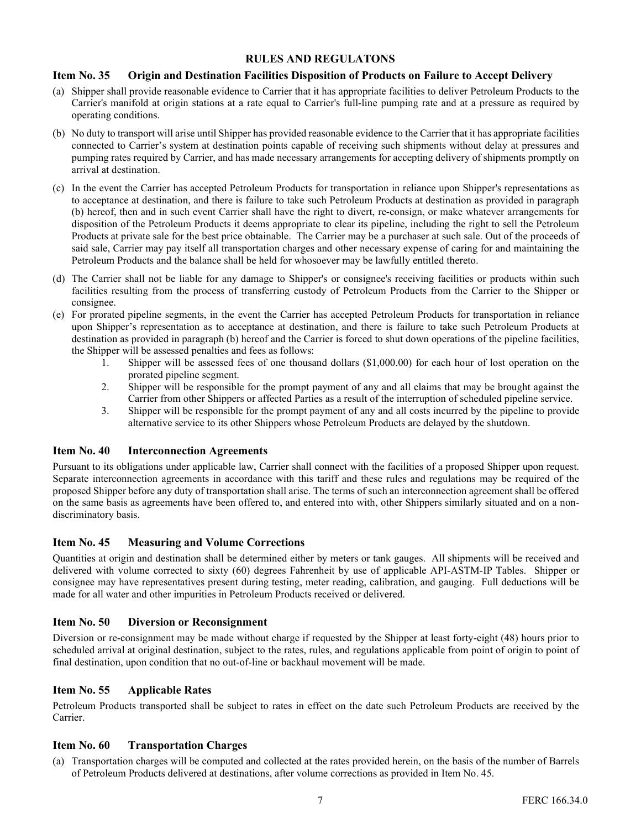#### Item No. 35 Origin and Destination Facilities Disposition of Products on Failure to Accept Delivery

- (a) Shipper shall provide reasonable evidence to Carrier that it has appropriate facilities to deliver Petroleum Products to the Carrier's manifold at origin stations at a rate equal to Carrier's full-line pumping rate and at a pressure as required by operating conditions.
- (b) No duty to transport will arise until Shipper has provided reasonable evidence to the Carrier that it has appropriate facilities connected to Carrier's system at destination points capable of receiving such shipments without delay at pressures and pumping rates required by Carrier, and has made necessary arrangements for accepting delivery of shipments promptly on arrival at destination.
- (c) In the event the Carrier has accepted Petroleum Products for transportation in reliance upon Shipper's representations as to acceptance at destination, and there is failure to take such Petroleum Products at destination as provided in paragraph (b) hereof, then and in such event Carrier shall have the right to divert, re-consign, or make whatever arrangements for disposition of the Petroleum Products it deems appropriate to clear its pipeline, including the right to sell the Petroleum Products at private sale for the best price obtainable. The Carrier may be a purchaser at such sale. Out of the proceeds of said sale, Carrier may pay itself all transportation charges and other necessary expense of caring for and maintaining the Petroleum Products and the balance shall be held for whosoever may be lawfully entitled thereto.
- (d) The Carrier shall not be liable for any damage to Shipper's or consignee's receiving facilities or products within such facilities resulting from the process of transferring custody of Petroleum Products from the Carrier to the Shipper or consignee.
- (e) For prorated pipeline segments, in the event the Carrier has accepted Petroleum Products for transportation in reliance upon Shipper's representation as to acceptance at destination, and there is failure to take such Petroleum Products at destination as provided in paragraph (b) hereof and the Carrier is forced to shut down operations of the pipeline facilities, the Shipper will be assessed penalties and fees as follows:
	- 1. Shipper will be assessed fees of one thousand dollars (\$1,000.00) for each hour of lost operation on the prorated pipeline segment.
	- 2. Shipper will be responsible for the prompt payment of any and all claims that may be brought against the Carrier from other Shippers or affected Parties as a result of the interruption of scheduled pipeline service.
	- 3. Shipper will be responsible for the prompt payment of any and all costs incurred by the pipeline to provide alternative service to its other Shippers whose Petroleum Products are delayed by the shutdown.

#### Item No. 40 Interconnection Agreements

Pursuant to its obligations under applicable law, Carrier shall connect with the facilities of a proposed Shipper upon request. Separate interconnection agreements in accordance with this tariff and these rules and regulations may be required of the proposed Shipper before any duty of transportation shall arise. The terms of such an interconnection agreement shall be offered on the same basis as agreements have been offered to, and entered into with, other Shippers similarly situated and on a nondiscriminatory basis.

#### Item No. 45 Measuring and Volume Corrections

Quantities at origin and destination shall be determined either by meters or tank gauges. All shipments will be received and delivered with volume corrected to sixty (60) degrees Fahrenheit by use of applicable API-ASTM-IP Tables. Shipper or consignee may have representatives present during testing, meter reading, calibration, and gauging. Full deductions will be made for all water and other impurities in Petroleum Products received or delivered.

#### Item No. 50 Diversion or Reconsignment

Diversion or re-consignment may be made without charge if requested by the Shipper at least forty-eight (48) hours prior to scheduled arrival at original destination, subject to the rates, rules, and regulations applicable from point of origin to point of final destination, upon condition that no out-of-line or backhaul movement will be made.

#### Item No. 55 Applicable Rates

Petroleum Products transported shall be subject to rates in effect on the date such Petroleum Products are received by the Carrier.

#### Item No. 60 Transportation Charges

(a) Transportation charges will be computed and collected at the rates provided herein, on the basis of the number of Barrels of Petroleum Products delivered at destinations, after volume corrections as provided in Item No. 45.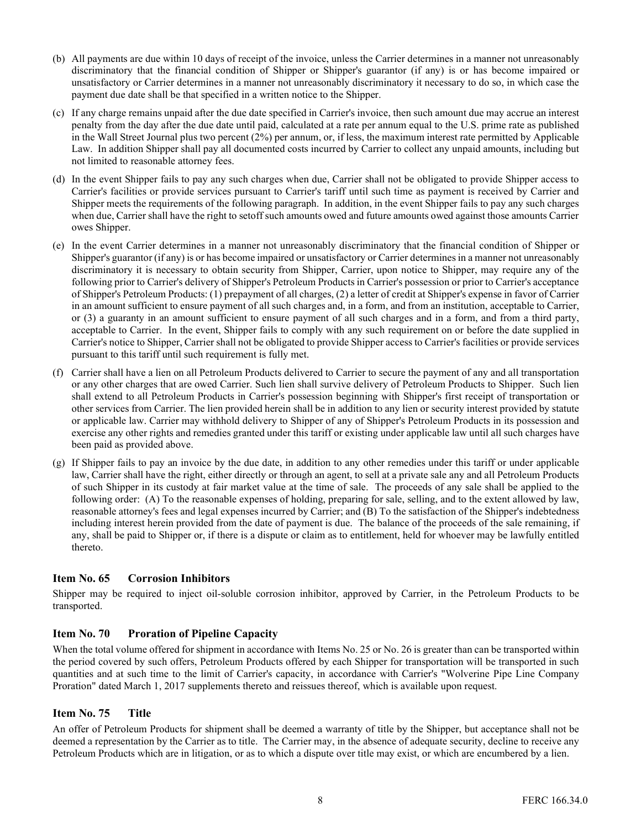- (b) All payments are due within 10 days of receipt of the invoice, unless the Carrier determines in a manner not unreasonably discriminatory that the financial condition of Shipper or Shipper's guarantor (if any) is or has become impaired or unsatisfactory or Carrier determines in a manner not unreasonably discriminatory it necessary to do so, in which case the payment due date shall be that specified in a written notice to the Shipper.
- (c) If any charge remains unpaid after the due date specified in Carrier's invoice, then such amount due may accrue an interest penalty from the day after the due date until paid, calculated at a rate per annum equal to the U.S. prime rate as published in the Wall Street Journal plus two percent (2%) per annum, or, if less, the maximum interest rate permitted by Applicable Law. In addition Shipper shall pay all documented costs incurred by Carrier to collect any unpaid amounts, including but not limited to reasonable attorney fees.
- (d) In the event Shipper fails to pay any such charges when due, Carrier shall not be obligated to provide Shipper access to Carrier's facilities or provide services pursuant to Carrier's tariff until such time as payment is received by Carrier and Shipper meets the requirements of the following paragraph. In addition, in the event Shipper fails to pay any such charges when due, Carrier shall have the right to setoff such amounts owed and future amounts owed against those amounts Carrier owes Shipper.
- (e) In the event Carrier determines in a manner not unreasonably discriminatory that the financial condition of Shipper or Shipper's guarantor (if any) is or has become impaired or unsatisfactory or Carrier determines in a manner not unreasonably discriminatory it is necessary to obtain security from Shipper, Carrier, upon notice to Shipper, may require any of the following prior to Carrier's delivery of Shipper's Petroleum Products in Carrier's possession or prior to Carrier's acceptance of Shipper's Petroleum Products: (1) prepayment of all charges, (2) a letter of credit at Shipper's expense in favor of Carrier in an amount sufficient to ensure payment of all such charges and, in a form, and from an institution, acceptable to Carrier, or (3) a guaranty in an amount sufficient to ensure payment of all such charges and in a form, and from a third party, acceptable to Carrier. In the event, Shipper fails to comply with any such requirement on or before the date supplied in Carrier's notice to Shipper, Carrier shall not be obligated to provide Shipper access to Carrier's facilities or provide services pursuant to this tariff until such requirement is fully met.
- (f) Carrier shall have a lien on all Petroleum Products delivered to Carrier to secure the payment of any and all transportation or any other charges that are owed Carrier. Such lien shall survive delivery of Petroleum Products to Shipper. Such lien shall extend to all Petroleum Products in Carrier's possession beginning with Shipper's first receipt of transportation or other services from Carrier. The lien provided herein shall be in addition to any lien or security interest provided by statute or applicable law. Carrier may withhold delivery to Shipper of any of Shipper's Petroleum Products in its possession and exercise any other rights and remedies granted under this tariff or existing under applicable law until all such charges have been paid as provided above.
- (g) If Shipper fails to pay an invoice by the due date, in addition to any other remedies under this tariff or under applicable law, Carrier shall have the right, either directly or through an agent, to sell at a private sale any and all Petroleum Products of such Shipper in its custody at fair market value at the time of sale. The proceeds of any sale shall be applied to the following order: (A) To the reasonable expenses of holding, preparing for sale, selling, and to the extent allowed by law, reasonable attorney's fees and legal expenses incurred by Carrier; and (B) To the satisfaction of the Shipper's indebtedness including interest herein provided from the date of payment is due. The balance of the proceeds of the sale remaining, if any, shall be paid to Shipper or, if there is a dispute or claim as to entitlement, held for whoever may be lawfully entitled thereto.

#### Item No. 65 Corrosion Inhibitors

Shipper may be required to inject oil-soluble corrosion inhibitor, approved by Carrier, in the Petroleum Products to be transported.

#### Item No. 70 Proration of Pipeline Capacity

When the total volume offered for shipment in accordance with Items No. 25 or No. 26 is greater than can be transported within the period covered by such offers, Petroleum Products offered by each Shipper for transportation will be transported in such quantities and at such time to the limit of Carrier's capacity, in accordance with Carrier's "Wolverine Pipe Line Company Proration" dated March 1, 2017 supplements thereto and reissues thereof, which is available upon request.

#### Item No. 75 Title

An offer of Petroleum Products for shipment shall be deemed a warranty of title by the Shipper, but acceptance shall not be deemed a representation by the Carrier as to title. The Carrier may, in the absence of adequate security, decline to receive any Petroleum Products which are in litigation, or as to which a dispute over title may exist, or which are encumbered by a lien.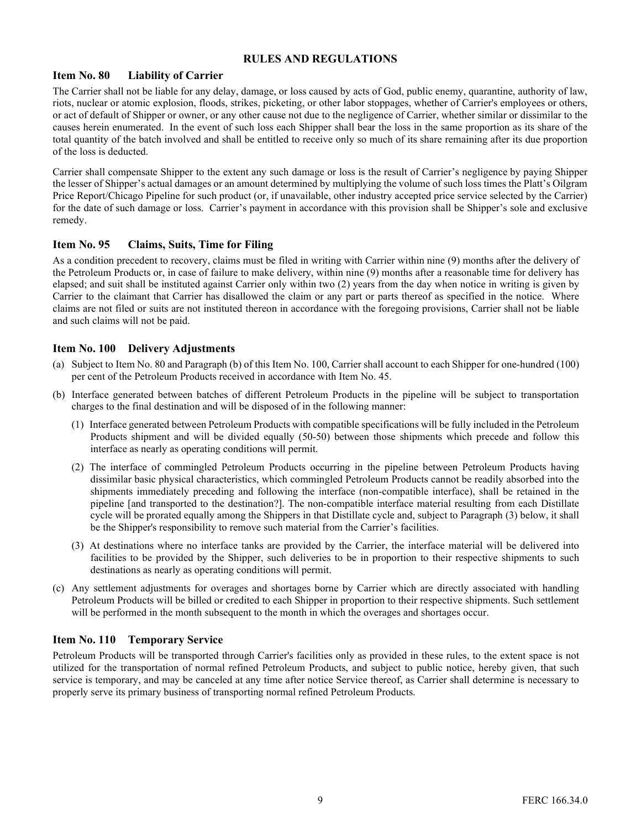#### Item No. 80 Liability of Carrier

The Carrier shall not be liable for any delay, damage, or loss caused by acts of God, public enemy, quarantine, authority of law, riots, nuclear or atomic explosion, floods, strikes, picketing, or other labor stoppages, whether of Carrier's employees or others, or act of default of Shipper or owner, or any other cause not due to the negligence of Carrier, whether similar or dissimilar to the causes herein enumerated. In the event of such loss each Shipper shall bear the loss in the same proportion as its share of the total quantity of the batch involved and shall be entitled to receive only so much of its share remaining after its due proportion of the loss is deducted.

Carrier shall compensate Shipper to the extent any such damage or loss is the result of Carrier's negligence by paying Shipper the lesser of Shipper's actual damages or an amount determined by multiplying the volume of such loss times the Platt's Oilgram Price Report/Chicago Pipeline for such product (or, if unavailable, other industry accepted price service selected by the Carrier) for the date of such damage or loss. Carrier's payment in accordance with this provision shall be Shipper's sole and exclusive remedy.

#### Item No. 95 Claims, Suits, Time for Filing

As a condition precedent to recovery, claims must be filed in writing with Carrier within nine (9) months after the delivery of the Petroleum Products or, in case of failure to make delivery, within nine (9) months after a reasonable time for delivery has elapsed; and suit shall be instituted against Carrier only within two (2) years from the day when notice in writing is given by Carrier to the claimant that Carrier has disallowed the claim or any part or parts thereof as specified in the notice. Where claims are not filed or suits are not instituted thereon in accordance with the foregoing provisions, Carrier shall not be liable and such claims will not be paid.

#### Item No. 100 Delivery Adjustments

- (a) Subject to Item No. 80 and Paragraph (b) of this Item No. 100, Carrier shall account to each Shipper for one-hundred (100) per cent of the Petroleum Products received in accordance with Item No. 45.
- (b) Interface generated between batches of different Petroleum Products in the pipeline will be subject to transportation charges to the final destination and will be disposed of in the following manner:
	- (1) Interface generated between Petroleum Products with compatible specifications will be fully included in the Petroleum Products shipment and will be divided equally (50-50) between those shipments which precede and follow this interface as nearly as operating conditions will permit.
	- (2) The interface of commingled Petroleum Products occurring in the pipeline between Petroleum Products having dissimilar basic physical characteristics, which commingled Petroleum Products cannot be readily absorbed into the shipments immediately preceding and following the interface (non-compatible interface), shall be retained in the pipeline [and transported to the destination?]. The non-compatible interface material resulting from each Distillate cycle will be prorated equally among the Shippers in that Distillate cycle and, subject to Paragraph (3) below, it shall be the Shipper's responsibility to remove such material from the Carrier's facilities.
	- (3) At destinations where no interface tanks are provided by the Carrier, the interface material will be delivered into facilities to be provided by the Shipper, such deliveries to be in proportion to their respective shipments to such destinations as nearly as operating conditions will permit.
- (c) Any settlement adjustments for overages and shortages borne by Carrier which are directly associated with handling Petroleum Products will be billed or credited to each Shipper in proportion to their respective shipments. Such settlement will be performed in the month subsequent to the month in which the overages and shortages occur.

#### Item No. 110 Temporary Service

Petroleum Products will be transported through Carrier's facilities only as provided in these rules, to the extent space is not utilized for the transportation of normal refined Petroleum Products, and subject to public notice, hereby given, that such service is temporary, and may be canceled at any time after notice Service thereof, as Carrier shall determine is necessary to properly serve its primary business of transporting normal refined Petroleum Products.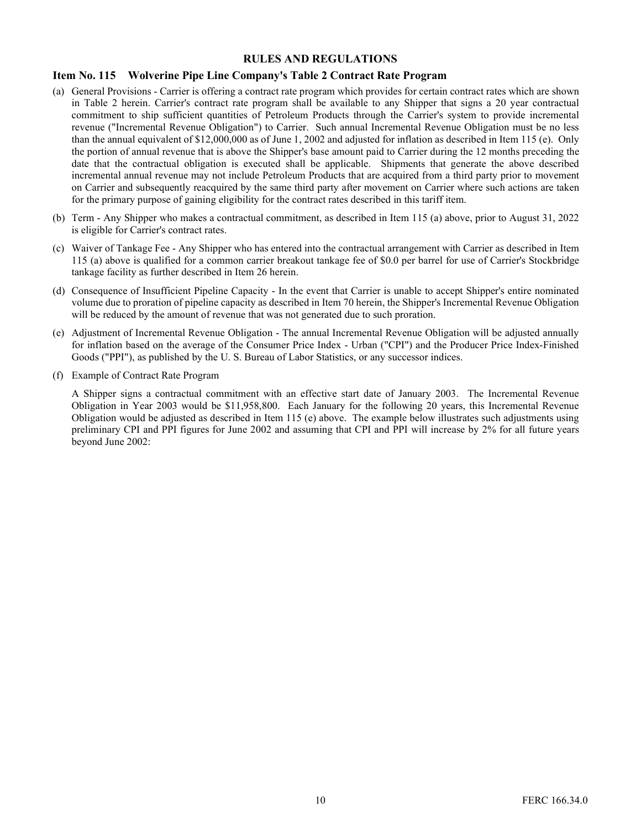#### Item No. 115 Wolverine Pipe Line Company's Table 2 Contract Rate Program

- (a) General Provisions Carrier is offering a contract rate program which provides for certain contract rates which are shown in Table 2 herein. Carrier's contract rate program shall be available to any Shipper that signs a 20 year contractual commitment to ship sufficient quantities of Petroleum Products through the Carrier's system to provide incremental revenue ("Incremental Revenue Obligation") to Carrier. Such annual Incremental Revenue Obligation must be no less than the annual equivalent of \$12,000,000 as of June 1, 2002 and adjusted for inflation as described in Item 115 (e). Only the portion of annual revenue that is above the Shipper's base amount paid to Carrier during the 12 months preceding the date that the contractual obligation is executed shall be applicable. Shipments that generate the above described incremental annual revenue may not include Petroleum Products that are acquired from a third party prior to movement on Carrier and subsequently reacquired by the same third party after movement on Carrier where such actions are taken for the primary purpose of gaining eligibility for the contract rates described in this tariff item.
- (b) Term Any Shipper who makes a contractual commitment, as described in Item 115 (a) above, prior to August 31, 2022 is eligible for Carrier's contract rates.
- (c) Waiver of Tankage Fee Any Shipper who has entered into the contractual arrangement with Carrier as described in Item 115 (a) above is qualified for a common carrier breakout tankage fee of \$0.0 per barrel for use of Carrier's Stockbridge tankage facility as further described in Item 26 herein.
- (d) Consequence of Insufficient Pipeline Capacity In the event that Carrier is unable to accept Shipper's entire nominated volume due to proration of pipeline capacity as described in Item 70 herein, the Shipper's Incremental Revenue Obligation will be reduced by the amount of revenue that was not generated due to such proration.
- (e) Adjustment of Incremental Revenue Obligation The annual Incremental Revenue Obligation will be adjusted annually for inflation based on the average of the Consumer Price Index - Urban ("CPI") and the Producer Price Index-Finished Goods ("PPI"), as published by the U. S. Bureau of Labor Statistics, or any successor indices.
- (f) Example of Contract Rate Program

A Shipper signs a contractual commitment with an effective start date of January 2003. The Incremental Revenue Obligation in Year 2003 would be \$11,958,800. Each January for the following 20 years, this Incremental Revenue Obligation would be adjusted as described in Item 115 (e) above. The example below illustrates such adjustments using preliminary CPI and PPI figures for June 2002 and assuming that CPI and PPI will increase by 2% for all future years beyond June 2002: